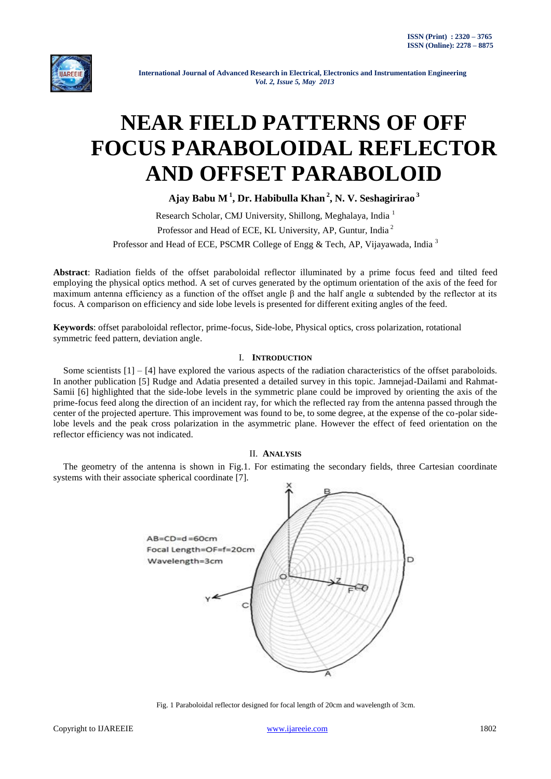

 **International Journal of Advanced Research in Electrical, Electronics and Instrumentation Engineering**   *Vol. 2, Issue 5, May 2013*

# **NEAR FIELD PATTERNS OF OFF FOCUS PARABOLOIDAL REFLECTOR AND OFFSET PARABOLOID**

**Ajay Babu M<sup>1</sup> , Dr. Habibulla Khan <sup>2</sup> , N. V. Seshagirirao <sup>3</sup>**

Research Scholar, CMJ University, Shillong, Meghalaya, India <sup>1</sup> Professor and Head of ECE, KL University, AP, Guntur, India <sup>2</sup> Professor and Head of ECE, PSCMR College of Engg & Tech, AP, Vijayawada, India<sup>3</sup>

**Abstract**: Radiation fields of the offset paraboloidal reflector illuminated by a prime focus feed and tilted feed employing the physical optics method. A set of curves generated by the optimum orientation of the axis of the feed for maximum antenna efficiency as a function of the offset angle β and the half angle  $\alpha$  subtended by the reflector at its focus. A comparison on efficiency and side lobe levels is presented for different exiting angles of the feed.

**Keywords**: offset paraboloidal reflector, prime-focus, Side-lobe, Physical optics, cross polarization, rotational symmetric feed pattern, deviation angle.

# I. **INTRODUCTION**

Some scientists  $[1] - [4]$  have explored the various aspects of the radiation characteristics of the offset paraboloids. In another publication [5] Rudge and Adatia presented a detailed survey in this topic. Jamnejad-Dailami and Rahmat-Samii [6] highlighted that the side-lobe levels in the symmetric plane could be improved by orienting the axis of the prime-focus feed along the direction of an incident ray, for which the reflected ray from the antenna passed through the center of the projected aperture. This improvement was found to be, to some degree, at the expense of the co-polar sidelobe levels and the peak cross polarization in the asymmetric plane. However the effect of feed orientation on the reflector efficiency was not indicated.

# II. **ANALYSIS**

The geometry of the antenna is shown in Fig.1. For estimating the secondary fields, three Cartesian coordinate systems with their associate spherical coordinate [7].



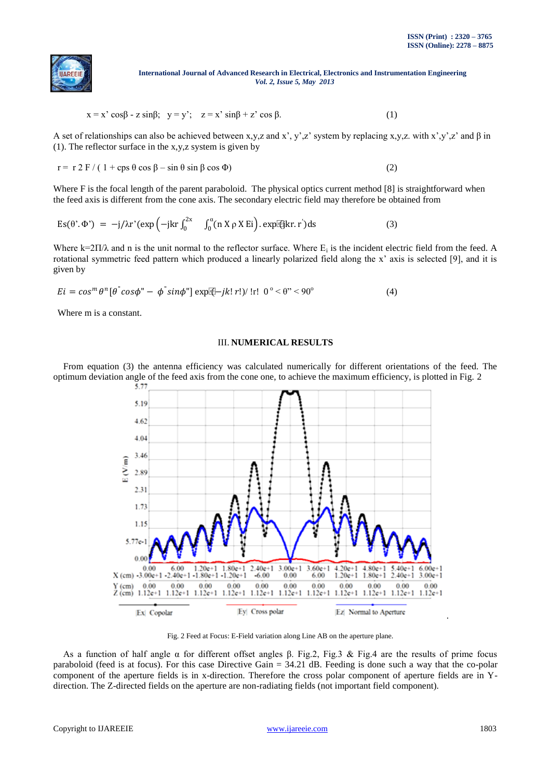

#### **International Journal of Advanced Research in Electrical, Electronics and Instrumentation Engineering**   *Vol. 2, Issue 5, May 2013*

$$
x = x' \cos\beta - z \sin\beta; \quad y = y'; \quad z = x' \sin\beta + z' \cos\beta.
$$
 (1)

A set of relationships can also be achieved between x,y,z and x', y',z' system by replacing x,y,z. with x',y',z' and  $\beta$  in (1). The reflector surface in the x,y,z system is given by

$$
r = r 2 F / (1 + \cos \theta \cos \beta - \sin \theta \sin \beta \cos \phi)
$$
 (2)

Where F is the focal length of the parent paraboloid. The physical optics current method [8] is straightforward when the feed axis is different from the cone axis. The secondary electric field may therefore be obtained from

$$
Es(\theta', \Phi') = -j/\lambda r' (exp(-jkr \int_0^{2x} \int_0^{\alpha} (n X \rho X Ei)). exp[i(jkr. r') ds]
$$
 (3)

Where  $k=2\Pi/\lambda$  and n is the unit normal to the reflector surface. Where  $E_i$  is the incident electric field from the feed. A rotational symmetric feed pattern which produced a linearly polarized field along the x' axis is selected [9], and it is given by

$$
Ei = \cos^{m} \theta^{n} [\theta^{n} \cos \phi^{n} - \phi^{n} \sin \phi^{n}] \exp[\theta - jk! \, r! \, \theta^{n}] \cdot \text{tr} \cdot 0^{\circ} < \theta^{n} < 90^{\circ} \tag{4}
$$

Where m is a constant.

## III. **NUMERICAL RESULTS**

From equation (3) the antenna efficiency was calculated numerically for different orientations of the feed. The optimum deviation angle of the feed axis from the cone one, to achieve the maximum efficiency, is plotted in Fig. 2



Fig. 2 Feed at Focus: E-Field variation along Line AB on the aperture plane.

As a function of half angle α for different offset angles β. Fig.2, Fig.3 & Fig.4 are the results of prime focus paraboloid (feed is at focus). For this case Directive Gain = 34.21 dB. Feeding is done such a way that the co-polar component of the aperture fields is in x-direction. Therefore the cross polar component of aperture fields are in Ydirection. The Z-directed fields on the aperture are non-radiating fields (not important field component).

.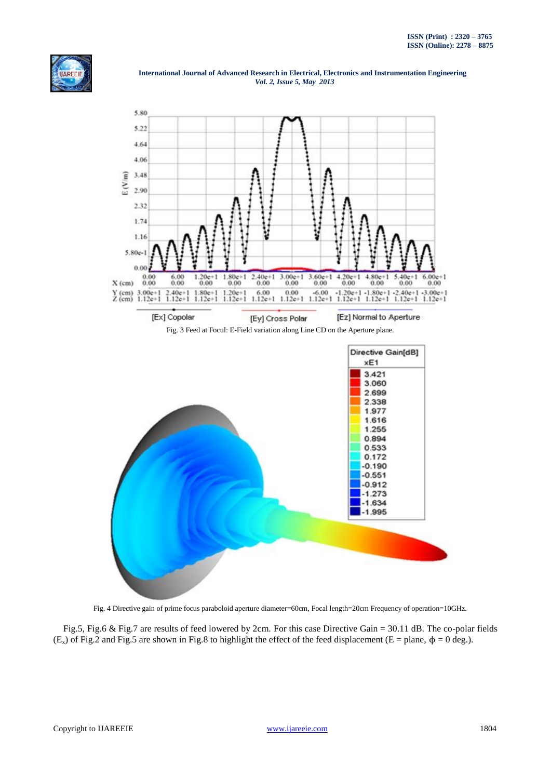

 **International Journal of Advanced Research in Electrical, Electronics and Instrumentation Engineering**   *Vol. 2, Issue 5, May 2013*



Fig. 4 Directive gain of prime focus paraboloid aperture diameter=60cm, Focal length=20cm Frequency of operation=10GHz.

Fig.5, Fig.6 & Fig.7 are results of feed lowered by 2cm. For this case Directive Gain = 30.11 dB. The co-polar fields (E<sub>x</sub>) of Fig.2 and Fig.5 are shown in Fig.8 to highlight the effect of the feed displacement (E = plane,  $\phi = 0$  deg.).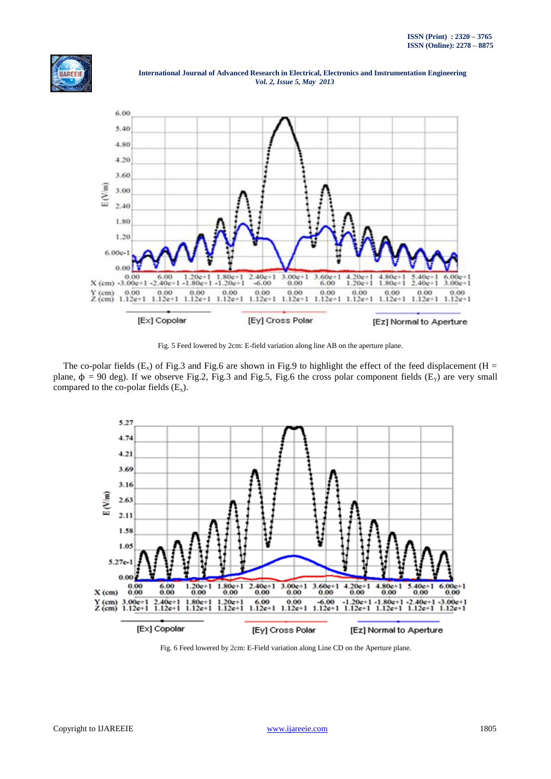[Ez] Normal to Aperture





 **International Journal of Advanced Research in Electrical, Electronics and Instrumentation Engineering**   *Vol. 2, Issue 5, May 2013*

Fig. 5 Feed lowered by 2cm: E-field variation along line AB on the aperture plane.

[Ey] Cross Polar

[Ex] Copolar

The co-polar fields  $(E_x)$  of Fig.3 and Fig.6 are shown in Fig.9 to highlight the effect of the feed displacement (H = plane,  $\phi = 90$  deg). If we observe Fig.2, Fig.3 and Fig.5, Fig.6 the cross polar component fields (E<sub>y</sub>) are very small compared to the co-polar fields  $(E_x)$ .



Fig. 6 Feed lowered by 2cm: E-Field variation along Line CD on the Aperture plane.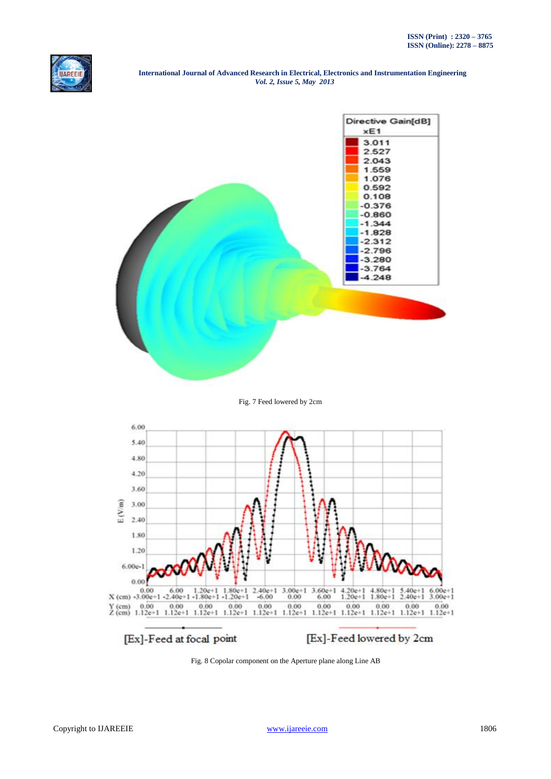

#### **International Journal of Advanced Research in Electrical, Electronics and Instrumentation Engineering**   *Vol. 2, Issue 5, May 2013*



## Fig. 7 Feed lowered by 2cm



Fig. 8 Copolar component on the Aperture plane along Line AB